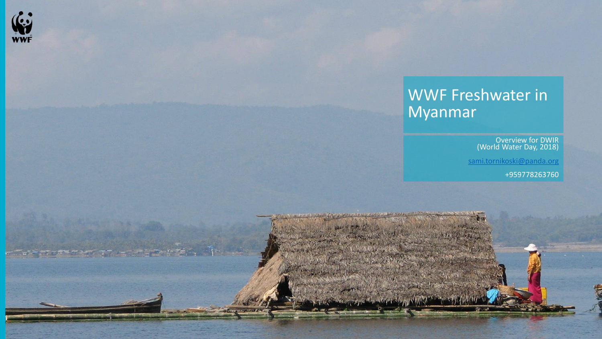

### WWF Freshwater in Myanmar

Overview for DWIR (World Water Day, 2018)

[sami.tornikoski@panda.org](mailto:sami.tornikoski@panda.org)

+959778263760

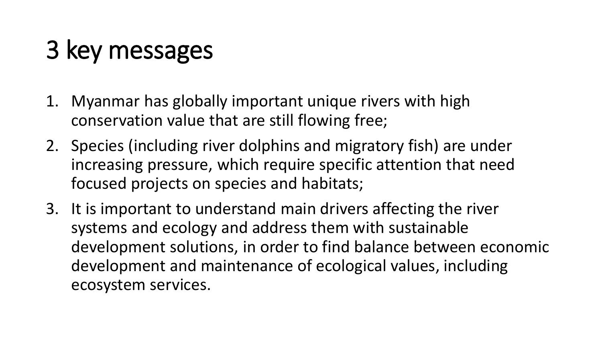# 3 key messages

- 1. Myanmar has globally important unique rivers with high conservation value that are still flowing free;
- 2. Species (including river dolphins and migratory fish) are under increasing pressure, which require specific attention that need focused projects on species and habitats;
- 3. It is important to understand main drivers affecting the river systems and ecology and address them with sustainable development solutions, in order to find balance between economic development and maintenance of ecological values, including ecosystem services.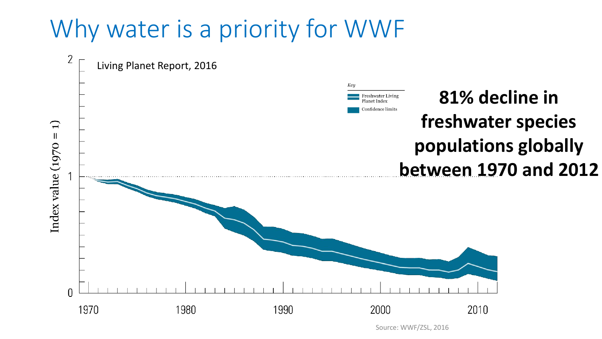### Why water is a priority for WWF



Source: WWF/ZSL, 2016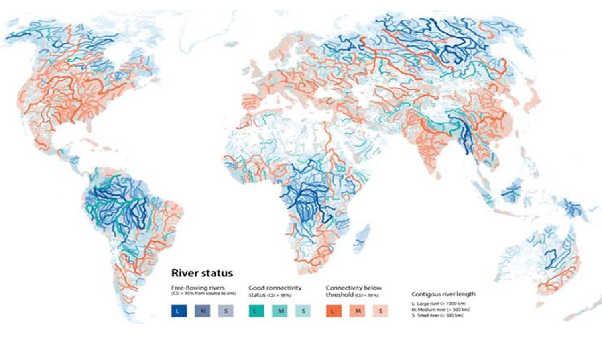#### **River status**

 $\mathbf{L}$ 

Free-flowing rivers<br>(CII > 99% from source to sink)

 $\vert$  s

Good connectivity status (CF) 95%

 $\dot{M}$ 

 $\sim$ 

Connectivity below<br>threshold (CSI < 15%)

M

#### Contigous river length

L: Large river (> 1000 km) M: Medium river (> 500 km) S: Small river (c 500 km)



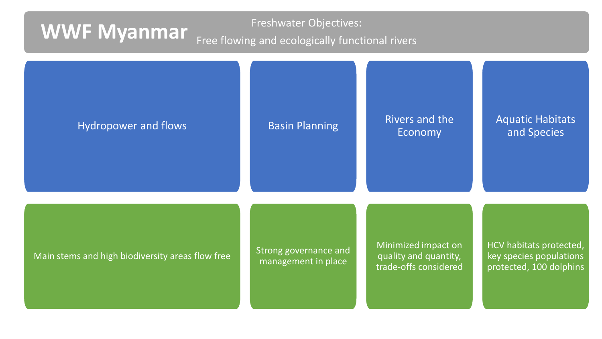### Freshwater Objectives: **WWF Myanmar** Free flowing and ecologically functional rivers

| Hydropower and flows                             | <b>Basin Planning</b>                        | Rivers and the<br>Economy                                             | <b>Aquatic Habitats</b><br>and Species                                        |
|--------------------------------------------------|----------------------------------------------|-----------------------------------------------------------------------|-------------------------------------------------------------------------------|
| Main stems and high biodiversity areas flow free | Strong governance and<br>management in place | Minimized impact on<br>quality and quantity,<br>trade-offs considered | HCV habitats protected,<br>key species populations<br>protected, 100 dolphins |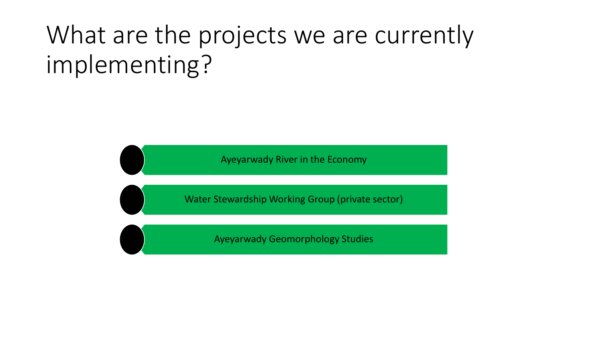## What are the projects we are currently implementing?

Ayeyarwady River in the Economy

Water Stewardship Working Group (private sector)

Ayeyarwady Geomorphology Studies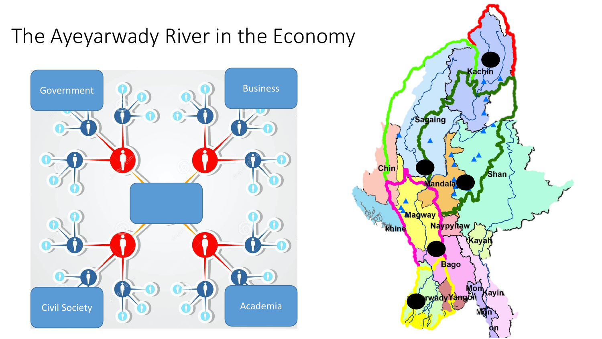### The Ayeyarwady River in the Economy



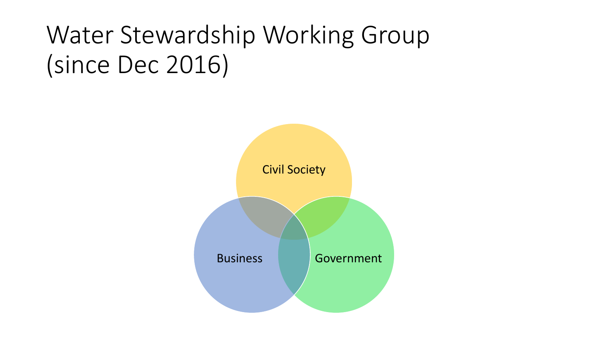## Water Stewardship Working Group (since Dec 2016)

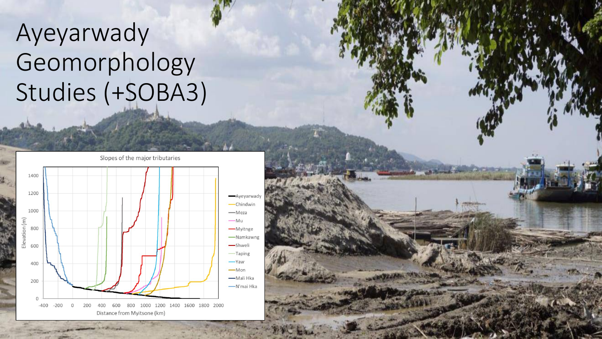## Ayeyarwady Geomorphology Studies (+SOBA3)